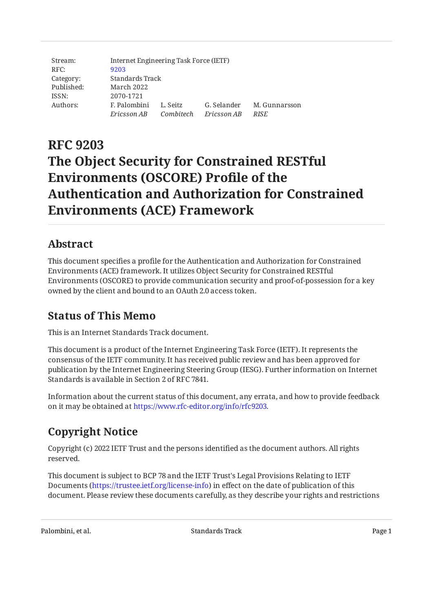| Stream:    | Internet Engineering Task Force (IETF) |           |             |               |  |  |
|------------|----------------------------------------|-----------|-------------|---------------|--|--|
| RFC:       | 9203                                   |           |             |               |  |  |
| Category:  | Standards Track                        |           |             |               |  |  |
| Published: | March 2022                             |           |             |               |  |  |
| ISSN:      | 2070-1721                              |           |             |               |  |  |
| Authors:   | F. Palombini                           | L. Seitz  | G. Selander | M. Gunnarsson |  |  |
|            | Ericsson AB                            | Combitech | Ericsson AB | <b>RISE</b>   |  |  |

# **RFC 9203 The Object Security for Constrained RESTful Environments (OSCORE) Profile of the Authentication and Authorization for Constrained Environments (ACE) Framework**

# <span id="page-0-0"></span>**[Abstract](#page-0-0)**

This document specifies a profile for the Authentication and Authorization for Constrained Environments (ACE) framework. It utilizes Object Security for Constrained RESTful Environments (OSCORE) to provide communication security and proof-of-possession for a key owned by the client and bound to an OAuth 2.0 access token.

# <span id="page-0-1"></span>**[Status of This Memo](#page-0-1)**

This is an Internet Standards Track document.

This document is a product of the Internet Engineering Task Force (IETF). It represents the consensus of the IETF community. It has received public review and has been approved for publication by the Internet Engineering Steering Group (IESG). Further information on Internet Standards is available in Section 2 of RFC 7841.

Information about the current status of this document, any errata, and how to provide feedback on it may be obtained at [https://www.rfc-editor.org/info/rfc9203.](https://www.rfc-editor.org/info/rfc9203)

# <span id="page-0-2"></span>**[Copyright Notice](#page-0-2)**

Copyright (c) 2022 IETF Trust and the persons identified as the document authors. All rights reserved.

This document is subject to BCP 78 and the IETF Trust's Legal Provisions Relating to IETF Documents (<https://trustee.ietf.org/license-info>) in effect on the date of publication of this document. Please review these documents carefully, as they describe your rights and restrictions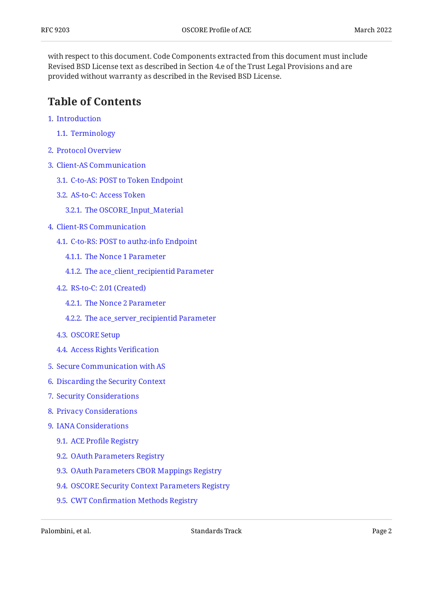with respect to this document. Code Components extracted from this document must include Revised BSD License text as described in Section 4.e of the Trust Legal Provisions and are provided without warranty as described in the Revised BSD License.

### <span id="page-1-0"></span>**[Table of Contents](#page-1-0)**

- [1](#page-2-0). [Introduction](#page-2-0)
	- [1.1.](#page-2-1) [Terminology](#page-2-1)
- [2](#page-3-0). [Protocol Overview](#page-3-0)
- [3](#page-5-0). [Client-AS Communication](#page-5-0)
	- [3.1.](#page-5-1) [C-to-AS: POST to Token Endpoint](#page-5-1)
	- [3.2.](#page-6-0) [AS-to-C: Access Token](#page-6-0)
		- [3.2.1](#page-10-0). [The OSCORE\\_Input\\_Material](#page-10-0)
- [4](#page-12-0). [Client-RS Communication](#page-12-0)
	- [4.1.](#page-13-0) [C-to-RS: POST to authz-info Endpoint](#page-13-0)
		- [4.1.1](#page-14-0). [The Nonce 1 Parameter](#page-14-0)
		- [4.1.2](#page-14-1). [The ace\\_client\\_recipientid Parameter](#page-14-1)
	- [4.2.](#page-15-0) [RS-to-C: 2.01 \(Created\)](#page-15-0)
		- [4.2.1](#page-16-0). [The Nonce 2 Parameter](#page-16-0)
		- [4.2.2](#page-16-1). The ace server recipientid Parameter
	- [4.3.](#page-16-2) [OSCORE Setup](#page-16-2)
	- [4.4.](#page-18-0) [Access Rights Veri](#page-18-0)fication
- [5](#page-19-0). [Secure Communication with AS](#page-19-0)
- [6](#page-19-1). [Discarding the Security Context](#page-19-1)
- [7](#page-20-0). [Security Considerations](#page-20-0)
- [8](#page-21-0). [Privacy Considerations](#page-21-0)
- [9](#page-21-1). [IANA Considerations](#page-21-1)
	- [9.1.](#page-21-2) ACE Profi[le Registry](#page-21-2)
	- [9.2.](#page-22-0) [OAuth Parameters Registry](#page-22-0)
	- [9.3.](#page-22-1) [OAuth Parameters CBOR Mappings Registry](#page-22-1)
	- [9.4.](#page-23-0) [OSCORE Security Context Parameters Registry](#page-23-0)
	- [9.5.](#page-24-0) CWT Confi[rmation Methods Registry](#page-24-0)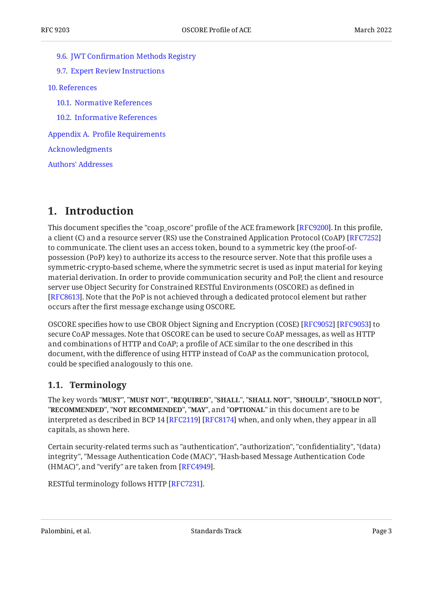- [9.6.](#page-24-1) JWT Confi[rmation Methods Registry](#page-24-1)
- [9.7.](#page-24-2) [Expert Review Instructions](#page-24-2)
- [10](#page-25-0). [References](#page-25-0)
	- [10.1.](#page-25-1) [Normative References](#page-25-1)
	- [10.2.](#page-26-0) [Informative References](#page-26-0)
- [Appendix A.](#page-27-0) Profi[le Requirements](#page-27-0)

[Acknowledgments](#page-27-1)

[Authors' Addresses](#page-28-0)

### <span id="page-2-0"></span>**[1. Introduction](#page-2-0)**

This document specifies the "coap\_oscore" profile of the ACE framework [RFC9200]. In this profile, a client (C) and a resource server (RS) use the Constrained Application Protocol (CoAP) [[RFC7252\]](#page-25-2) to communicate. The client uses an access token, bound to a symmetric key (the proof-ofpossession (PoP) key) to authorize its access to the resource server. Note that this profile uses a symmetric-crypto-based scheme, where the symmetric secret is used as input material for keying material derivation. In order to provide communication security and PoP, the client and resource server use Object Security for Constrained RESTful Environments (OSCORE) as defined in [[RFC8613\]](#page-25-3). Note that the PoP is not achieved through a dedicated protocol element but rather occurs after the first message exchange using OSCORE.

OSCORE specifies how to use CBOR Object Signing and Encryption (COSE) [[RFC9052\]](#page-26-2) [\[RFC9053\]](#page-26-3) to secure CoAP messages. Note that OSCORE can be used to secure CoAP messages, as well as HTTP and combinations of HTTP and CoAP; a profile of ACE similar to the one described in this document, with the difference of using HTTP instead of CoAP as the communication protocol, could be specified analogously to this one.

### <span id="page-2-1"></span>**[1.1. Terminology](#page-2-1)**

The key words "MUST", "MUST NOT", "REQUIRED", "SHALL", "SHALL NOT", "SHOULD", "SHOULD NOT", "**RECOMMENDED", "NOT RECOMMENDED", "MAY",** and "OPTIONAL" in this document are to be interpreted as described in BCP 14 [RFC2119] [RFC8174] when, and only when, they appear in all capitals, as shown here.

Certain security-related terms such as "authentication", "authorization", "confidentiality", "(data) integrity", "Message Authentication Code (MAC)", "Hash-based Message Authentication Code  $(HMAC)$ ", and "verify" are taken from  $[RFC4949]$  $[RFC4949]$ .

RESTful terminology follows HTTP [\[RFC7231](#page-26-5)].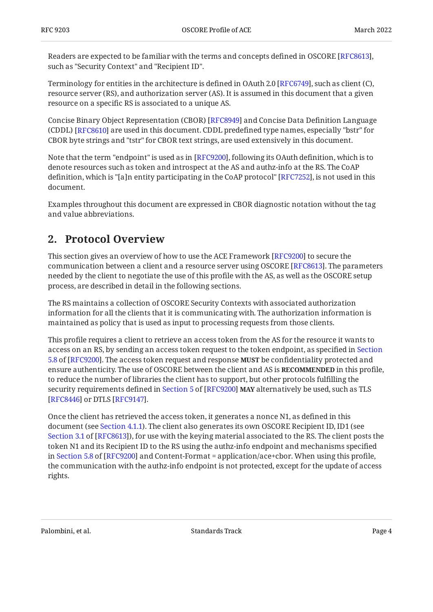Readers are expected to be familiar with the terms and concepts defined in OSCORE [RFC8613], such as "Security Context" and "Recipient ID".

Terminology for entities in the architecture is defined in OAuth 2.0 [RFC6749], such as client (C), resource server (RS), and authorization server (AS). It is assumed in this document that a given resource on a specific RS is associated to a unique AS.

Concise Binary Object Representation (CBOR) [RFC8949] and Concise Data Definition Language (CDDL) [RFC8610] are used in this document. CDDL predefined type names, especially "bstr" for CBOR byte strings and "tstr" for CBOR text strings, are used extensively in this document.

Note that the term "endpoint" is used as in [RFC9200], following its OAuth definition, which is to denote resources such as token and introspect at the AS and authz-info at the RS. The CoAP definition, which is "[a]n entity participating in the CoAP protocol" [RFC7252], is not used in this document.

<span id="page-3-0"></span>Examples throughout this document are expressed in CBOR diagnostic notation without the tag and value abbreviations.

### **[2. Protocol Overview](#page-3-0)**

This section gives an overview of how to use the ACE Framework [RFC9200] to secure the communication between a client and a resource server using OSCORE [RFC8613]. The parameters needed by the client to negotiate the use of this profile with the AS, as well as the OSCORE setup process, are described in detail in the following sections.

The RS maintains a collection of OSCORE Security Contexts with associated authorization information for all the clients that it is communicating with. The authorization information is maintained as policy that is used as input to processing requests from those clients.

This profile requires a client to retrieve an access token from the AS for the resource it wants to access on an RS, by sending an access token request to the token endpoint, as specified in [Section](https://www.rfc-editor.org/rfc/rfc9200#section-5.8) [5.8](https://www.rfc-editor.org/rfc/rfc9200#section-5.8) of [[RFC9200\]](#page-26-1). The access token request and response **MUST** be confidentiality protected and ensure authenticity. The use of OSCORE between the client and AS is **RECOMMENDED** in this profile, to reduce the number of libraries the client has to support, but other protocols fulfilling the securityrequirements defined in Section 5 of [RFC9200] **MAY** alternatively be used, such as TLS [[RFC8446\]](#page-26-8) or DTLS [RFC9147].

Once the client has retrieved the access token, it generates a nonce N1, as defined in this document (see [Section 4.1.1\)](#page-14-0). The client also generates its own OSCORE Recipient ID, ID1 (see [Section 3.1](https://www.rfc-editor.org/rfc/rfc8613#section-3.1) of [\[RFC8613\]](#page-25-3)), for use with the keying material associated to the RS. The client posts the token N1 and its Recipient ID to the RS using the authz-info endpoint and mechanisms specified inSection 5.8 of [RFC9200] and Content-Format = application/ace+cbor. When using this profile, the communication with the authz-info endpoint is not protected, except for the update of access rights.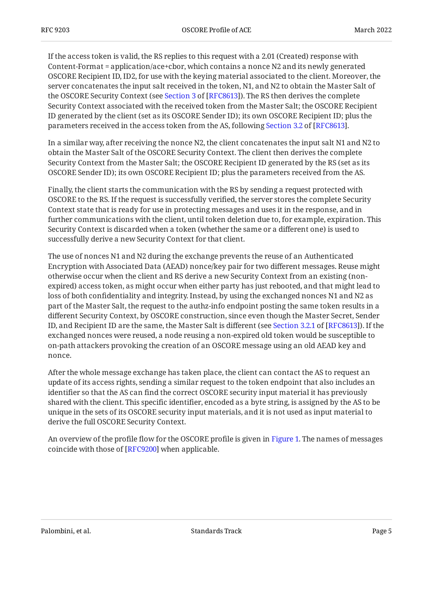If the access token is valid, the RS replies to this request with a 2.01 (Created) response with Content-Format = application/ace+cbor, which contains a nonce N2 and its newly generated OSCORE Recipient ID, ID2, for use with the keying material associated to the client. Moreover, the server concatenates the input salt received in the token, N1, and N2 to obtain the Master Salt of theOSCORE Security Context (see Section 3 of [RFC8613]). The RS then derives the complete Security Context associated with the received token from the Master Salt; the OSCORE Recipient ID generated by the client (set as its OSCORE Sender ID); its own OSCORE Recipient ID; plus the parametersreceived in the access token from the AS, following Section 3.2 of [RFC8613].

In a similar way, after receiving the nonce N2, the client concatenates the input salt N1 and N2 to obtain the Master Salt of the OSCORE Security Context. The client then derives the complete Security Context from the Master Salt; the OSCORE Recipient ID generated by the RS (set as its OSCORE Sender ID); its own OSCORE Recipient ID; plus the parameters received from the AS.

Finally, the client starts the communication with the RS by sending a request protected with OSCORE to the RS. If the request is successfully verified, the server stores the complete Security Context state that is ready for use in protecting messages and uses it in the response, and in further communications with the client, until token deletion due to, for example, expiration. This Security Context is discarded when a token (whether the same or a different one) is used to successfully derive a new Security Context for that client.

The use of nonces N1 and N2 during the exchange prevents the reuse of an Authenticated Encryption with Associated Data (AEAD) nonce/key pair for two different messages. Reuse might otherwise occur when the client and RS derive a new Security Context from an existing (nonexpired) access token, as might occur when either party has just rebooted, and that might lead to loss of both confidentiality and integrity. Instead, by using the exchanged nonces N1 and N2 as part of the Master Salt, the request to the authz-info endpoint posting the same token results in a different Security Context, by OSCORE construction, since even though the Master Secret, Sender ID,and Recipient ID are the same, the Master Salt is different (see Section 3.2.1 of [RFC8613]). If the exchanged nonces were reused, a node reusing a non-expired old token would be susceptible to on-path attackers provoking the creation of an OSCORE message using an old AEAD key and nonce.

After the whole message exchange has taken place, the client can contact the AS to request an update of its access rights, sending a similar request to the token endpoint that also includes an identifier so that the AS can find the correct OSCORE security input material it has previously shared with the client. This specific identifier, encoded as a byte string, is assigned by the AS to be unique in the sets of its OSCORE security input materials, and it is not used as input material to derive the full OSCORE Security Context.

<span id="page-4-0"></span>An overview of the profile flow for the OSCORE profile is given in [Figure 1.](#page-5-2) The names of messages coincide with those of [\[RFC9200](#page-26-1)] when applicable.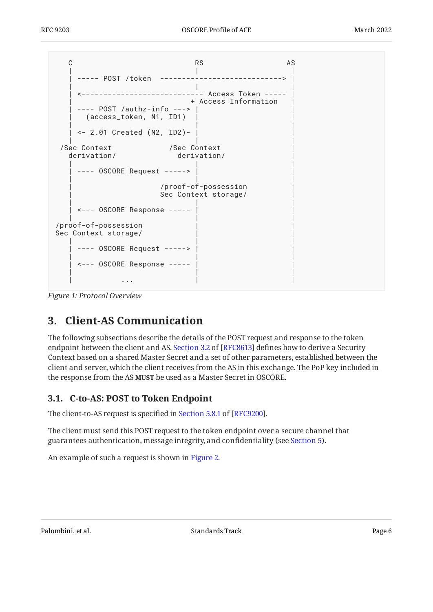<span id="page-5-2"></span>C AS RS AS | | | | ----- POST /token ----------------------------> | | | | | <---------------------------- Access Token ----- | | + Access Information | | ---- POST /authz-info ---> | | | (access\_token, N1, ID1) | | | | | | <- 2.01 Created (N2, ID2)- | | | | | /Sec Context /Sec Context<br>derivation/ derivation/ derivation/ | | | ---- OSCORE Request -----> | | | | /proof-of-possession | Sec Context storage/ | | | | <--- OSCORE Response ----- | | | | | /proof-of-possession | | Sec Context storage/ | | | ---- OSCORE Request -----> | | | | <--- OSCORE Response ----- | | | | | | ... | ... | ... | ... | ... | ... | ... | ... | ... | ... | ... | ... | ... | ... | ... | ... | ... | ... | ... | ... | ... | ... | ... | ... | ... | ... | ... | ... | ... | ... | ... | ... | ... | ... | ... | ... | ...

<span id="page-5-0"></span>*[Figure 1:](#page-5-2) [Protocol Overview](#page-4-0)* 

# **[3. Client-AS Communication](#page-5-0)**

The following subsections describe the details of the POST request and response to the token endpointbetween the client and AS. Section 3.2 of [RFC8613] defines how to derive a Security Context based on a shared Master Secret and a set of other parameters, established between the client and server, which the client receives from the AS in this exchange. The PoP key included in the response from the AS MUST be used as a Master Secret in OSCORE.

### <span id="page-5-1"></span>**[3.1. C-to-AS: POST to Token Endpoint](#page-5-1)**

Theclient-to-AS request is specified in Section 5.8.1 of [RFC9200].

The client must send this POST request to the token endpoint over a secure channel that guarantees authentication, message integrity, and confidentiality (see [Section 5\)](#page-19-0).

<span id="page-5-3"></span>An example of such a request is shown in [Figure 2.](#page-6-1)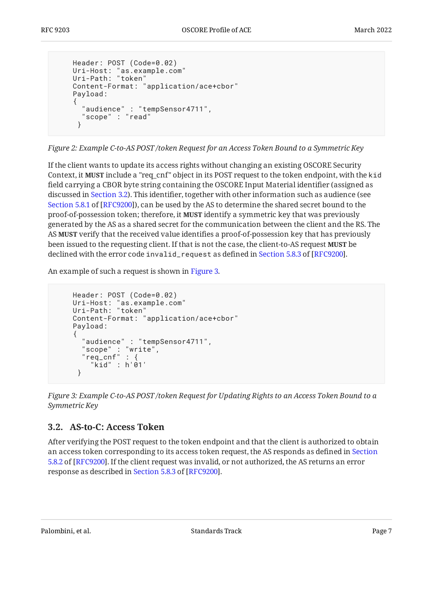```
 Header: POST (Code=0.02)
 Uri-Host: "as.example.com"
 Uri-Path: "token"
     Content-Format: "application/ace+cbor"
     Payload:
    \left\{ \right. "audience" : "tempSensor4711",
       "scope" : "read"
      }
```
*[Figure 2:](#page-6-1) [Example C-to-AS POST /token Request for an Access Token Bound to a Symmetric Key](#page-5-3)* 

If the client wants to update its access rights without changing an existing OSCORE Security Context, it **MUST** include a "req\_cnf" object in its POST request to the token endpoint, with the kid field carrying a CBOR byte string containing the OSCORE Input Material identifier (assigned as discussed in [Section 3.2](#page-6-0)). This identifier, together with other information such as audience (see [Section 5.8.1](https://www.rfc-editor.org/rfc/rfc9200#section-5.8.1) of [[RFC9200\]](#page-26-1)), can be used by the AS to determine the shared secret bound to the proof-of-possession token; therefore, it **MUST** identify a symmetric key that was previously generated by the AS as a shared secret for the communication between the client and the RS. The AS **MUST** verify that the received value identifies a proof-of-possession key that has previously been issued to the requesting client. If that is not the case, the client-to-AS request **MUST** be declinedwith the error code <code>invalid\_request</code> as defined in Section 5.8.3 of [RFC9200].

An example of such a request is shown in [Figure 3.](#page-6-2)

```
 Header: POST (Code=0.02)
 Uri-Host: "as.example.com"
 Uri-Path: "token"
    Content-Format: "application/ace+cbor"
    Payload:
     {
      "audience" : "tempSensor4711",
      "scope" : "write",
     "req_cnf" : {
         "kid" : h'01'
      }
```
*[Figure 3: Example C-to-AS POST /token Request for Updating Rights to an Access Token Bound to a](#page-6-2) [Symmetric Key](#page-6-2)* 

### <span id="page-6-0"></span>**[3.2. AS-to-C: Access Token](#page-6-0)**

After verifying the POST request to the token endpoint and that the client is authorized to obtain an access token corresponding to its access token request, the AS responds as defined in [Section](https://www.rfc-editor.org/rfc/rfc9200#section-5.8.2) [5.8.2](https://www.rfc-editor.org/rfc/rfc9200#section-5.8.2) of [\[RFC9200\]](#page-26-1). If the client request was invalid, or not authorized, the AS returns an error responseas described in Section 5.8.3 of [RFC9200].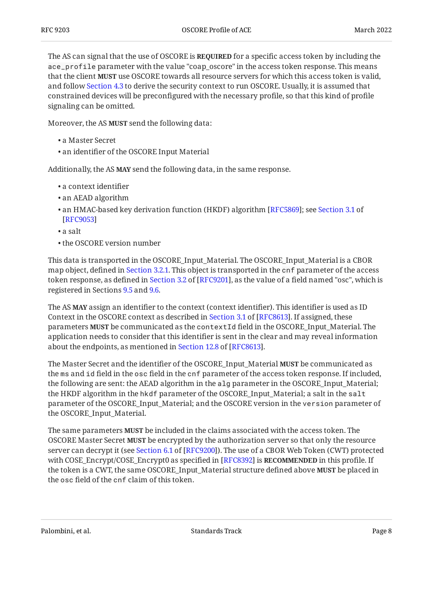The AS can signal that the use of OSCORE is **REQUIRED** for a specific access token by including the ace\_profile parameter with the value "coap\_oscore" in the access token response. This means that the client **MUST** use OSCORE towards all resource servers for which this access token is valid, and follow [Section 4.3](#page-16-2) to derive the security context to run OSCORE. Usually, it is assumed that constrained devices will be preconfigured with the necessary profile, so that this kind of profile signaling can be omitted.

Moreover, the AS MUST send the following data:

- a Master Secret •
- an identifier of the OSCORE Input Material •

Additionally, the AS MAY send the following data, in the same response.

- a context identifier •
- an AEAD algorithm •
- an HMAC-based key derivation function (HKDF) algorithm [RFC5869]; see [Section 3.1](https://www.rfc-editor.org/rfc/rfc9053#section-3.1) of [[RFC9053\]](#page-26-3)
- a salt •
- the OSCORE version number •

This data is transported in the OSCORE\_Input\_Material. The OSCORE\_Input\_Material is a CBOR map object, defined in [Section 3.2.1.](#page-10-0) This object is transported in the cnf parameter of the access tokenresponse, as defined in Section 3.2 of [RFC9201], as the value of a field named "osc", which is registered in Sections [9.5](#page-24-0) and [9.6](#page-24-1).

The AS **MAY** assign an identifier to the context (context identifier). This identifier is used as ID Contextin the OSCORE context as described in Section 3.1 of [RFC8613]. If assigned, these parameters **MUST** be communicated as the contextId field in the OSCORE\_Input\_Material. The application needs to consider that this identifier is sent in the clear and may reveal information aboutthe endpoints, as mentioned in Section 12.8 of [RFC8613].

The Master Secret and the identifier of the OSCORE\_Input\_Material **MUST** be communicated as the ms and id field in the osc field in the cnf parameter of the access token response. If included, the following are sent: the AEAD algorithm in the alg parameter in the OSCORE\_Input\_Material; the HKDF algorithm in the hkdf parameter of the OSCORE\_Input\_Material; a salt in the salt parameter of the OSCORE\_Input\_Material; and the OSCORE version in the version parameter of the OSCORE\_Input\_Material.

The same parameters **MUST** be included in the claims associated with the access token. The OSCORE Master Secret **MUST** be encrypted by the authorization server so that only the resource servercan decrypt it (see Section 6.1 of [RFC9200]). The use of a CBOR Web Token (CWT) protected with COSE\_Encrypt/COSE\_Encrypt0 as specified in [\[RFC8392](#page-25-8)] is **RECOMMENDED** in this profile. If the token is a CWT, the same OSCORE\_Input\_Material structure defined above **MUST** be placed in the osc field of the cnf claim of this token.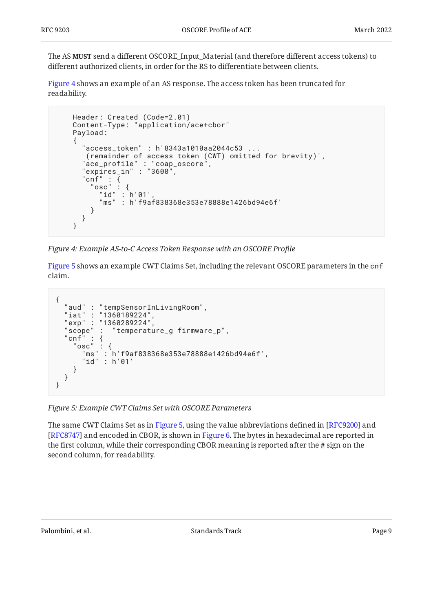The AS **MUST** send a different OSCORE\_Input\_Material (and therefore different access tokens) to different authorized clients, in order for the RS to differentiate between clients.

[Figure 4](#page-8-0) shows an example of an AS response. The access token has been truncated for readability.

```
 Header: Created (Code=2.01)
    Content-Type: "application/ace+cbor"
    Payload:
     {
       "access_token" : h'8343a1010aa2044c53 ...
       (remainder of access token (CWT) omitted for brevity)',
 "ace_profile" : "coap_oscore",
 "expires_in" : "3600",
      "cnf" :: {<br>"osc" :
 "osc" : {
 "id" : h'01',
           "ms" : h'f9af838368e353e78888e1426bd94e6f'
         }
      }
     }
```
*[Figure 4: Example AS-to-C Access Token Response with an OSCORE Pro](#page-8-0)file* 

[Figure 5](#page-8-1) shows an example CWT Claims Set, including the relevant OSCORE parameters in the cnf claim.

```
{
 "aud" : "tempSensorInLivingRoom",
 "iat" : "1360189224",
  "exp" : "1360289224"<br>"scope" : "temperat"
               "temperature_g firmware_p",
   'cnf" :<br>"osc"
 "osc" : {
 "ms" : h'f9af838368e353e78888e1426bd94e6f',
       "id" : h'01'
     }
   }
}
```
*[Figure 5: Example CWT Claims Set with OSCORE Parameters](#page-8-1)* 

<span id="page-8-2"></span>The same CWT Claims Set as in [Figure 5,](#page-8-1) using the value abbreviations defined in [RFC9200] and [RFC8747] and encoded in CBOR, is shown in [Figure 6.](#page-9-0) The bytes in hexadecimal are reported in the first column, while their corresponding CBOR meaning is reported after the # sign on the second column, for readability.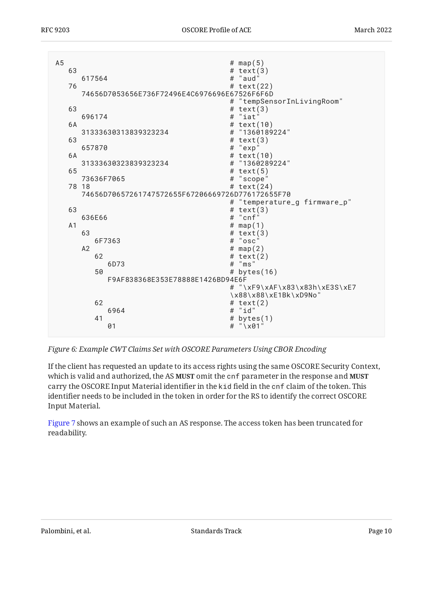<span id="page-9-0"></span>

| A <sub>5</sub> |                |                      |                                                  |   | # $map(5)$                    |
|----------------|----------------|----------------------|--------------------------------------------------|---|-------------------------------|
|                | 63             |                      |                                                  |   | # $text(3)$                   |
|                |                | 617564               |                                                  |   | # "aud"                       |
|                | 76             |                      |                                                  |   | # $text(22)$                  |
|                |                |                      | 74656D7053656E736F72496E4C6976696E67526F6F6D     |   |                               |
|                |                |                      |                                                  |   | "tempSensorInLivingRoom"      |
|                | 63             |                      |                                                  |   | # $text(3)$<br># "iat"        |
|                | 6A             |                      | 696174                                           |   | # $text(10)$                  |
|                |                | 31333630313839323234 |                                                  |   | # "1360189224"                |
|                | 63             |                      |                                                  |   | # $text(3)$                   |
|                |                | 657870               |                                                  | # | "exp"                         |
|                | 6A             |                      |                                                  |   | # $text(10)$                  |
|                |                |                      | 31333630323839323234                             |   | # "1360289224"                |
|                | 65             |                      |                                                  |   | # $text(5)$                   |
|                |                | 73636F7065           |                                                  | # | "scope"                       |
|                | 78 18          |                      |                                                  |   | # $text(24)$                  |
|                |                |                      | 74656D70657261747572655F67206669726D776172655F70 |   |                               |
|                |                |                      |                                                  | # | "temperature_g firmware_p"    |
|                | 63             |                      |                                                  | # | text(3)                       |
|                |                | 636E66               |                                                  | # | "cnf"                         |
|                | A <sub>1</sub> |                      |                                                  |   | # $map(1)$                    |
|                |                | 63                   |                                                  |   | # $text(3)$                   |
|                |                |                      | 6F7363                                           |   | # "osc"                       |
|                |                | A2                   |                                                  |   | # $map(2)$                    |
|                |                | 62                   |                                                  |   | # $text(2)$<br>$#$ "ms"       |
|                |                | 50                   | 6D73                                             |   |                               |
|                |                |                      | F9AF838368E353E78888E1426BD94E6F                 |   | # bytes $(16)$                |
|                |                |                      |                                                  |   | # "\xF9\xAF\x83\x83h\xE3S\xE7 |
|                |                |                      |                                                  |   | \x88\x88\xE1Bk\xD9No"         |
|                |                | 62                   |                                                  |   | # text $(2)$                  |
|                |                |                      | 6964                                             | # | "id"                          |
|                |                | 41                   |                                                  | # | bytes(1)                      |
|                |                |                      | 01                                               | # | $" \times 01"$                |
|                |                |                      |                                                  |   |                               |

*[Figure 6:](#page-9-0) [Example CWT Claims Set with OSCORE Parameters Using CBOR Encoding](#page-8-2)* 

If the client has requested an update to its access rights using the same OSCORE Security Context, which is valid and authorized, the AS **MUST** omit the <code>cnf</code> parameter in the response and <code>MUST</code> carry the OSCORE Input Material identifier in the kid field in the cnf claim of the token. This identifier needs to be included in the token in order for the RS to identify the correct OSCORE Input Material.

<span id="page-9-1"></span>[Figure 7](#page-10-1) shows an example of such an AS response. The access token has been truncated for readability.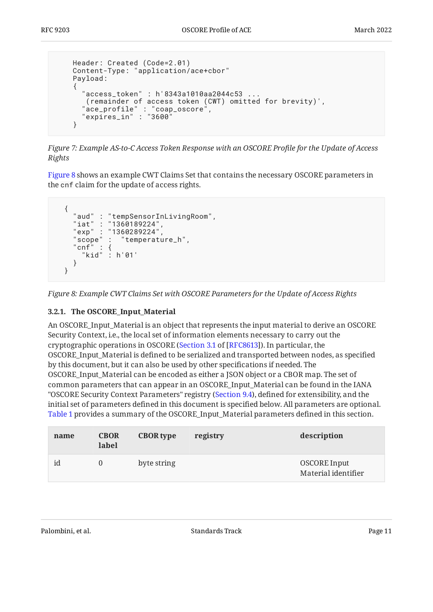```
 Header: Created (Code=2.01)
    Content-Type: "application/ace+cbor"
    Payload:
    {
 "access_token" : h'8343a1010aa2044c53 ...
 (remainder of access token (CWT) omitted for brevity)',
 "ace_profile" : "coap_oscore",
 "expires_in" : "3600"
    }
```
*[Figure 7:](#page-10-1) [Example AS-to-C Access Token Response with an OSCORE Pro](#page-9-1)file for the Update of Access [Rights](#page-9-1)* 

[Figure 8](#page-10-2) shows an example CWT Claims Set that contains the necessary OSCORE parameters in the cnf claim for the update of access rights.

```
 {
    "aud" : "tempSensorInLivingRoom",
 "iat" : "1360189224",
 "exp" : "1360289224",
 "scope" : "temperature_h",
 "cnf" : {
 "kid" : h'01'
    }
  }
```
<span id="page-10-0"></span>*[Figure 8: Example CWT Claims Set with OSCORE Parameters for the Update of Access Rights](#page-10-2)* 

#### **[3.2.1. The OSCORE\\_Input\\_Material](#page-10-0)**

An OSCORE\_Input\_Material is an object that represents the input material to derive an OSCORE Security Context, i.e., the local set of information elements necessary to carry out the cryptographic operations in OSCORE ([Section 3.1](https://www.rfc-editor.org/rfc/rfc8613#section-3.1) of [[RFC8613\]](#page-25-3)). In particular, the OSCORE\_Input\_Material is defined to be serialized and transported between nodes, as specified by this document, but it can also be used by other specifications if needed. The OSCORE\_Input\_Material can be encoded as either a JSON object or a CBOR map. The set of common parameters that can appear in an OSCORE\_Input\_Material can be found in the IANA "OSCORE Security Context Parameters" registry ([Section 9.4](#page-23-0)), defined for extensibility, and the initial set of parameters defined in this document is specified below. All parameters are optional. [Table 1](#page-10-3) provides a summary of the OSCORE\_Input\_Material parameters defined in this section.

<span id="page-10-3"></span>

| name | <b>CBOR</b><br>label | <b>CBOR</b> type | registry | description                                |
|------|----------------------|------------------|----------|--------------------------------------------|
| id   |                      | byte string      |          | <b>OSCORE</b> Input<br>Material identifier |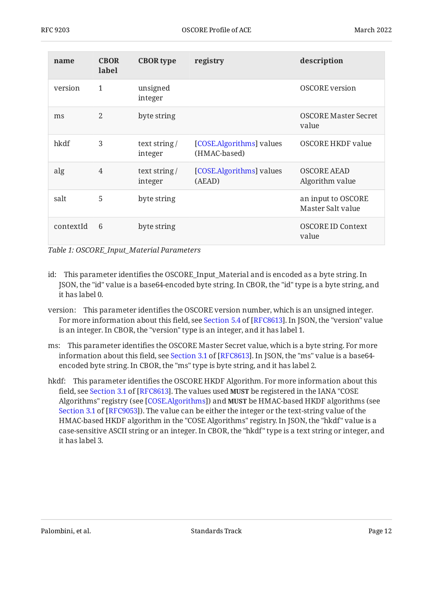| name      | <b>CBOR</b><br>label | <b>CBOR</b> type        | registry                                 | description                             |
|-----------|----------------------|-------------------------|------------------------------------------|-----------------------------------------|
| version   | 1                    | unsigned<br>integer     |                                          | <b>OSCORE</b> version                   |
| ms        | $\overline{2}$       | byte string             |                                          | OSCORE Master Secret<br>value           |
| hkdf      | 3                    | text string/<br>integer | [COSE.Algorithms] values<br>(HMAC-based) | <b>OSCORE HKDF value</b>                |
| alg       | $\overline{4}$       | text string/<br>integer | [COSE.Algorithms] values<br>(AEAD)       | <b>OSCORE AEAD</b><br>Algorithm value   |
| salt      | 5                    | byte string             |                                          | an input to OSCORE<br>Master Salt value |
| contextId | 6                    | byte string             |                                          | <b>OSCORE ID Context</b><br>value       |

*[Table 1: OSCORE\\_Input\\_Material Parameters](#page-10-3)* 

- id: This parameter identifies the OSCORE\_Input\_Material and is encoded as a byte string. In JSON, the "id" value is a base64-encoded byte string. In CBOR, the "id" type is a byte string, and it has label 0.
- version: This parameter identifies the OSCORE version number, which is an unsigned integer. Formore information about this field, see Section 5.4 of [RFC8613]. In JSON, the "version" value is an integer. In CBOR, the "version" type is an integer, and it has label 1.
- ms: This parameter identifies the OSCORE Master Secret value, which is a byte string. For more informationabout this field, see Section 3.1 of [RFC8613]. In JSON, the "ms" value is a base64encoded byte string. In CBOR, the "ms" type is byte string, and it has label 2.
- hkdf: This parameter identifies the OSCORE HKDF Algorithm. For more information about this field,see Section 3.1 of [RFC8613]. The values used **MUST** be registered in the IANA "COSE Algorithms" registry (see [COSE.Algorithms]) and **MUST** be HMAC-based HKDF algorithms (see [Section 3.1](https://www.rfc-editor.org/rfc/rfc9053#section-3.1) of [\[RFC9053\]](#page-26-3)). The value can be either the integer or the text-string value of the HMAC-based HKDF algorithm in the "COSE Algorithms" registry. In JSON, the "hkdf" value is a case-sensitive ASCII string or an integer. In CBOR, the "hkdf" type is a text string or integer, and it has label 3.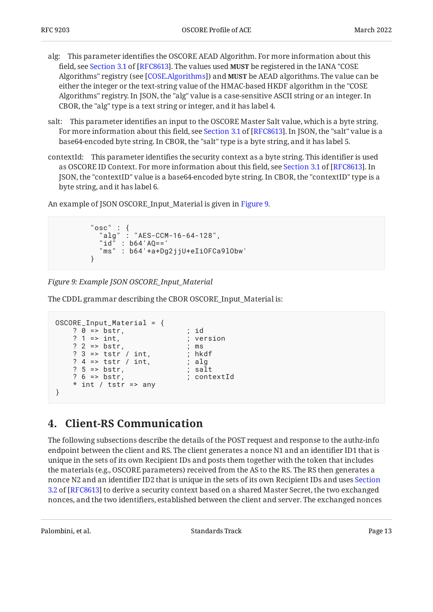- alg: This parameter identifies the OSCORE AEAD Algorithm. For more information about this field,see Section 3.1 of [RFC8613]. The values used **MUST** be registered in the IANA "COSE Algorithms" registry (see [COSE.Algorithms]) and **MUST** be AEAD algorithms. The value can be either the integer or the text-string value of the HMAC-based HKDF algorithm in the "COSE Algorithms" registry. In JSON, the "alg" value is a case-sensitive ASCII string or an integer. In CBOR, the "alg" type is a text string or integer, and it has label 4.
- salt: This parameter identifies an input to the OSCORE Master Salt value, which is a byte string. Formore information about this field, see Section 3.1 of [RFC8613]. In JSON, the "salt" value is a base64-encoded byte string. In CBOR, the "salt" type is a byte string, and it has label 5.
- contextId: This parameter identifies the security context as a byte string. This identifier is used asOSCORE ID Context. For more information about this field, see Section 3.1 of [RFC8613]. In JSON, the "contextID" value is a base64-encoded byte string. In CBOR, the "contextID" type is a byte string, and it has label 6.

An example of JSON OSCORE\_Input\_Material is given in [Figure 9.](#page-12-1)

```
 "osc" : {
 "alg" : "AES-CCM-16-64-128",
 "id" : b64'AQ=='
        "ms" : b64'+a+Dg2jjU+eIiOFCa9lObw'
 }
```
*[Figure 9: Example JSON OSCORE\\_Input\\_Material](#page-12-1)* 

The CDDL grammar describing the CBOR OSCORE\_Input\_Material is:

```
OSCORE_Input_Material = {
     ? 0 => bstr, ; id
    ? 1 => int, ; version
    ? 2 \Rightarrow \text{bstr},<br>? 3 \Rightarrow \text{tstr} / \text{int}, ; hkdf
    ? 3 \Rightarrow tstr / int,? 4 => tstr / int,    ; alg
    ? 5 \Rightarrow \text{bstr}, ; salt
    ? 6 => bstr, ; contextId
    * int / tstr => any
}
```
### <span id="page-12-0"></span>**[4. Client-RS Communication](#page-12-0)**

The following subsections describe the details of the POST request and response to the authz-info endpoint between the client and RS. The client generates a nonce N1 and an identifier ID1 that is unique in the sets of its own Recipient IDs and posts them together with the token that includes the materials (e.g., OSCORE parameters) received from the AS to the RS. The RS then generates a nonce N2 and an identifier ID2 that is unique in the sets of its own Recipient IDs and uses [Section](https://www.rfc-editor.org/rfc/rfc8613#section-3.2) [3.2](https://www.rfc-editor.org/rfc/rfc8613#section-3.2) of [[RFC8613\]](#page-25-3) to derive a security context based on a shared Master Secret, the two exchanged nonces, and the two identifiers, established between the client and server. The exchanged nonces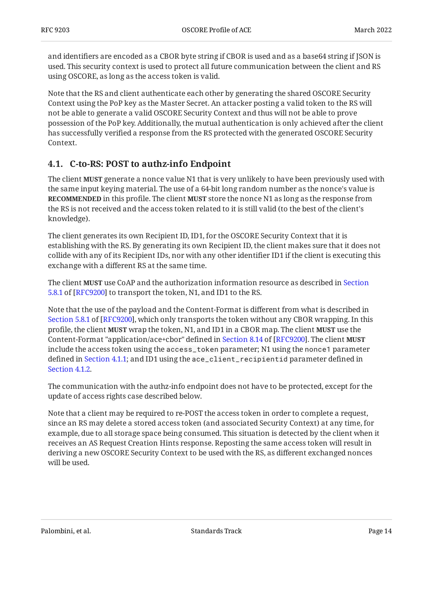and identifiers are encoded as a CBOR byte string if CBOR is used and as a base64 string if JSON is used. This security context is used to protect all future communication between the client and RS using OSCORE, as long as the access token is valid.

Note that the RS and client authenticate each other by generating the shared OSCORE Security Context using the PoP key as the Master Secret. An attacker posting a valid token to the RS will not be able to generate a valid OSCORE Security Context and thus will not be able to prove possession of the PoP key. Additionally, the mutual authentication is only achieved after the client has successfully verified a response from the RS protected with the generated OSCORE Security Context.

### <span id="page-13-0"></span>**[4.1. C-to-RS: POST to authz-info Endpoint](#page-13-0)**

The client **MUST** generate a nonce value N1 that is very unlikely to have been previously used with the same input keying material. The use of a 64-bit long random number as the nonce's value is **RECOMMENDED** in this profile. The client **MUST** store the nonce N1 as long as the response from the RS is not received and the access token related to it is still valid (to the best of the client's knowledge).

The client generates its own Recipient ID, ID1, for the OSCORE Security Context that it is establishing with the RS. By generating its own Recipient ID, the client makes sure that it does not collide with any of its Recipient IDs, nor with any other identifier ID1 if the client is executing this exchange with a different RS at the same time.

The client **MUST** use CoAP and the authorization information resource as described in [Section](https://www.rfc-editor.org/rfc/rfc9200#section-5.8.1)  $5.8.1$  of [\[RFC9200\]](#page-26-1) to transport the token, N1, and ID1 to the RS.

Note that the use of the payload and the Content-Format is different from what is described in [Section 5.8.1](https://www.rfc-editor.org/rfc/rfc9200#section-5.8.1) of [[RFC9200\]](#page-26-1), which only transports the token without any CBOR wrapping. In this profile, the client **MUST** wrap the token, N1, and ID1 in a CBOR map. The client **MUST** use the Content-Format"application/ace+cbor" defined in Section 8.14 of [RFC9200]. The client **MUST** include the access token using the access\_token parameter; N1 using the nonce1 parameter defined in [Section 4.1.1;](#page-14-0) and ID1 using the ace\_client\_recipientid parameter defined in [Section 4.1.2.](#page-14-1)

The communication with the authz-info endpoint does not have to be protected, except for the update of access rights case described below.

Note that a client may be required to re-POST the access token in order to complete a request, since an RS may delete a stored access token (and associated Security Context) at any time, for example, due to all storage space being consumed. This situation is detected by the client when it receives an AS Request Creation Hints response. Reposting the same access token will result in deriving a new OSCORE Security Context to be used with the RS, as different exchanged nonces will be used.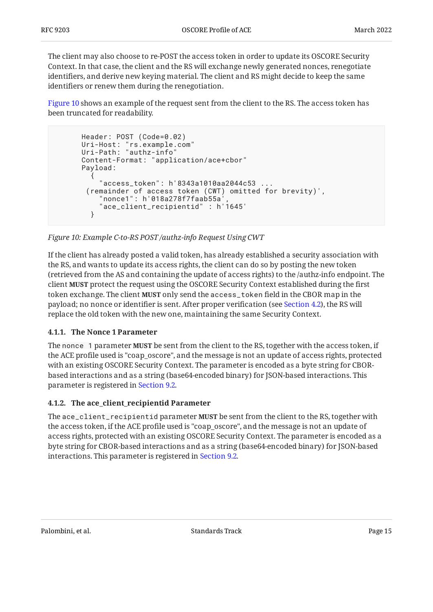The client may also choose to re-POST the access token in order to update its OSCORE Security Context. In that case, the client and the RS will exchange newly generated nonces, renegotiate identifiers, and derive new keying material. The client and RS might decide to keep the same identifiers or renew them during the renegotiation.

[Figure 10](#page-14-2) shows an example of the request sent from the client to the RS. The access token has been truncated for readability.

```
Header: POST (Code=0.02)
 Uri-Host: "rs.example.com"
 Uri-Path: "authz-info"
      Content-Format: "application/ace+cbor"
      Payload:
\{ "access_token": h'8343a1010aa2044c53 ...
        (remainder of access token (CWT) omitted for brevity)',
          "nonce1": h'018a278f7faab55a',
           "ace_client_recipientid" : h'1645'
        }
```
*[Figure 10: Example C-to-RS POST /authz-info Request Using CWT](#page-14-2)* 

If the client has already posted a valid token, has already established a security association with the RS, and wants to update its access rights, the client can do so by posting the new token (retrieved from the AS and containing the update of access rights) to the /authz-info endpoint. The client **MUST** protect the request using the OSCORE Security Context established during the first token exchange. The client **MUST** only send the access\_token field in the CBOR map in the payload; no nonce or identifier is sent. After proper verification (see [Section 4.2\)](#page-15-0), the RS will replace the old token with the new one, maintaining the same Security Context.

### <span id="page-14-0"></span>**[4.1.1. The Nonce 1 Parameter](#page-14-0)**

The nonce  $\,$  1 parameter **MUST** be sent from the client to the RS, together with the access token, if the ACE profile used is "coap\_oscore", and the message is not an update of access rights, protected with an existing OSCORE Security Context. The parameter is encoded as a byte string for CBORbased interactions and as a string (base64-encoded binary) for JSON-based interactions. This parameter is registered in [Section 9.2](#page-22-0).

### <span id="page-14-1"></span>**[4.1.2. The ace\\_client\\_recipientid Parameter](#page-14-1)**

The ace\_client\_recipientid parameter **MUST** be sent from the client to the RS, together with the access token, if the ACE profile used is "coap\_oscore", and the message is not an update of access rights, protected with an existing OSCORE Security Context. The parameter is encoded as a byte string for CBOR-based interactions and as a string (base64-encoded binary) for JSON-based interactions. This parameter is registered in [Section 9.2](#page-22-0).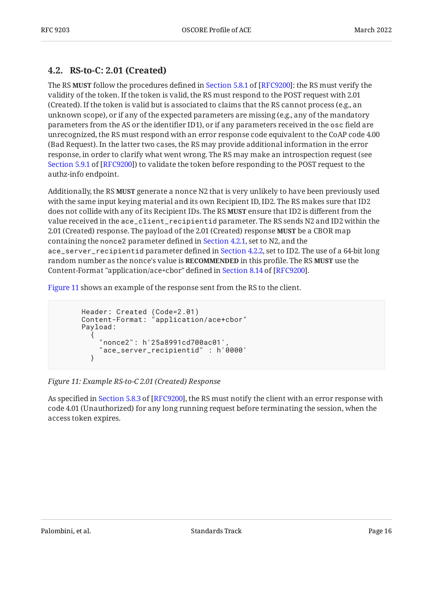### <span id="page-15-0"></span>**[4.2. RS-to-C: 2.01 \(Created\)](#page-15-0)**

TheRS **MUST** follow the procedures defined in Section 5.8.1 of [RFC9200]: the RS must verify the validity of the token. If the token is valid, the RS must respond to the POST request with 2.01 (Created). If the token is valid but is associated to claims that the RS cannot process (e.g., an unknown scope), or if any of the expected parameters are missing (e.g., any of the mandatory parameters from the AS or the identifier ID1), or if any parameters received in the osc field are unrecognized, the RS must respond with an error response code equivalent to the CoAP code 4.00 (Bad Request). In the latter two cases, the RS may provide additional information in the error response, in order to clarify what went wrong. The RS may make an introspection request (see [Section 5.9.1](https://www.rfc-editor.org/rfc/rfc9200#section-5.9.1) of [[RFC9200\]](#page-26-1)) to validate the token before responding to the POST request to the authz-info endpoint.

Additionally, the RS **MUST** generate a nonce N2 that is very unlikely to have been previously used with the same input keying material and its own Recipient ID, ID2. The RS makes sure that ID2 does not collide with any of its Recipient IDs. The RS **MUST** ensure that ID2 is different from the value received in the ace\_client\_recipientid parameter. The RS sends N2 and ID2 within the 2.01 (Created) response. The payload of the 2.01 (Created) response **MUST** be a CBOR map containing the nonce2 parameter defined in [Section 4.2.1,](#page-16-0) set to N2, and the ace\_server\_recipientid parameter defined in [Section 4.2.2,](#page-16-1) set to ID2. The use of a 64-bit long  ${\bf r}$ andom number as the nonce's value is  ${\bf RECOMMENDED}$  in this profile. The RS **MUST** use the Content-Format"application/ace+cbor" defined in Section 8.14 of [RFC9200].

[Figure 11](#page-15-1) shows an example of the response sent from the RS to the client.

```
 Header: Created (Code=2.01)
 Content-Format: "application/ace+cbor"
      Payload:
\{ "nonce2": h'25a8991cd700ac01',
        "ace_server_recipientid" : h'0000'
 }
```
#### *[Figure 11: Example RS-to-C 2.01 \(Created\) Response](#page-15-1)*

Asspecified in Section 5.8.3 of [RFC9200], the RS must notify the client with an error response with code 4.01 (Unauthorized) for any long running request before terminating the session, when the access token expires.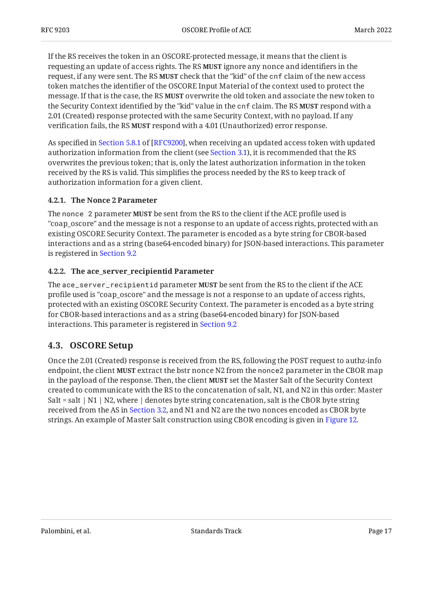If the RS receives the token in an OSCORE-protected message, it means that the client is requesting an update of access rights. The RS **MUST** ignore any nonce and identifiers in the request, if any were sent. The RS **MUST** check that the "kid" of the cnf claim of the new access token matches the identifier of the OSCORE Input Material of the context used to protect the message. If that is the case, the RS **MUST** overwrite the old token and associate the new token to the Security Context identified by the "kid" value in the onf claim. The RS **MUST** respond with a 2.01 (Created) response protected with the same Security Context, with no payload. If any verification fails, the RS **MUST** respond with a 4.01 (Unauthorized) error response.

Asspecified in Section 5.8.1 of [RFC9200], when receiving an updated access token with updated authorization information from the client (see [Section 3.1](#page-5-1)), it is recommended that the RS overwrites the previous token; that is, only the latest authorization information in the token received by the RS is valid. This simplifies the process needed by the RS to keep track of authorization information for a given client.

#### <span id="page-16-0"></span>**[4.2.1. The Nonce 2 Parameter](#page-16-0)**

The nonce  $\,$  2 parameter **MUST** be sent from the RS to the client if the ACE profile used is "coap\_oscore" and the message is not a response to an update of access rights, protected with an existing OSCORE Security Context. The parameter is encoded as a byte string for CBOR-based interactions and as a string (base64-encoded binary) for JSON-based interactions. This parameter is registered in [Section 9.2](#page-22-0)

#### <span id="page-16-1"></span>**[4.2.2. The ace\\_server\\_recipientid Parameter](#page-16-1)**

The ace\_server\_recipientid parameter **MUST** be sent from the RS to the client if the ACE profile used is "coap\_oscore" and the message is not a response to an update of access rights, protected with an existing OSCORE Security Context. The parameter is encoded as a byte string for CBOR-based interactions and as a string (base64-encoded binary) for JSON-based interactions. This parameter is registered in [Section 9.2](#page-22-0)

### <span id="page-16-2"></span>**[4.3. OSCORE Setup](#page-16-2)**

<span id="page-16-3"></span>Once the 2.01 (Created) response is received from the RS, following the POST request to authz-info endpoint, the client **MUST** extract the bstr nonce N2 from the nonce2 parameter in the CBOR map in the payload of the response. Then, the client **MUST** set the Master Salt of the Security Context created to communicate with the RS to the concatenation of salt, N1, and N2 in this order: Master Salt = salt  $| N1 | N2$ , where  $|$  denotes byte string concatenation, salt is the CBOR byte string received from the AS in [Section 3.2](#page-6-0), and N1 and N2 are the two nonces encoded as CBOR byte strings. An example of Master Salt construction using CBOR encoding is given in [Figure 12.](#page-17-0)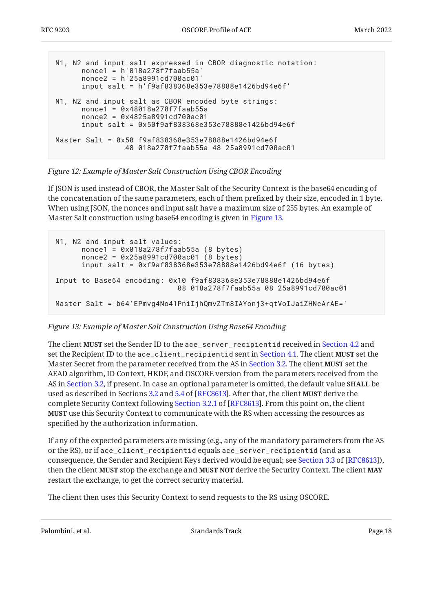```
N1, N2 and input salt expressed in CBOR diagnostic notation:
       nonce1 = h'018a278f7faab55a'
       nonce2 = h'25a8991cd700ac01'
       input salt = h'f9af838368e353e78888e1426bd94e6f'
N1, N2 and input salt as CBOR encoded byte strings:
       nonce1 = 0x48018a278f7faab55a
       nonce2 = 0x4825a8991cd700ac01
       input salt = 0x50f9af838368e353e78888e1426bd94e6f
Master Salt = 0x50 f9af838368e353e78888e1426bd94e6f
                 48 018a278f7faab55a 48 25a8991cd700ac01
```
#### *[Figure 12:](#page-17-0) [Example of Master Salt Construction Using CBOR Encoding](#page-16-3)*

If JSON is used instead of CBOR, the Master Salt of the Security Context is the base64 encoding of the concatenation of the same parameters, each of them prefixed by their size, encoded in 1 byte. When using JSON, the nonces and input salt have a maximum size of 255 bytes. An example of Master Salt construction using base64 encoding is given in [Figure 13.](#page-17-1)

```
N1, N2 and input salt values:
       nonce1 = 0x018a278f7faab55a (8 bytes)
       nonce2 = 0x25a8991cd700ac01 (8 bytes)
       input salt = 0xf9af838368e353e78888e1426bd94e6f (16 bytes)
Input to Base64 encoding: 0x10 f9af838368e353e78888e1426bd94e6f
                             08 018a278f7faab55a 08 25a8991cd700ac01
Master Salt = b64'EPmvq4No41PniIjhQmvZTm8IAYonj3+qtVoIJaiZHNcArAE='
```
### *[Figure 13: Example of Master Salt Construction Using Base64 Encoding](#page-17-1)*

The client **MUST** set the Sender ID to the ace\_server\_recipientid received in [Section 4.2](#page-15-0) and set the Recipient ID to the <code>ace\_client\_recipientid</code> sent in [Section 4.1.](#page-13-0) The client **MUST** set the Master Secret from the parameter received from the AS in [Section 3.2.](#page-6-0) The client **MUST** set the AEAD algorithm, ID Context, HKDF, and OSCORE version from the parameters received from the AS in [Section 3.2](#page-6-0), if present. In case an optional parameter is omitted, the default value **SHALL** be used as described in Sections [3.2](https://www.rfc-editor.org/rfc/rfc8613#section-3.2) and [5.4](https://www.rfc-editor.org/rfc/rfc8613#section-5.4) of [RFC8613]. After that, the client **MUST** derive the completeSecurity Context following Section 3.2.1 of [RFC8613]. From this point on, the client **MUST** use this Security Context to communicate with the RS when accessing the resources as specified by the authorization information.

If any of the expected parameters are missing (e.g., any of the mandatory parameters from the AS or the RS), or if ace\_client\_recipientid equals ace\_server\_recipientid (and as a consequence,the Sender and Recipient Keys derived would be equal; see Section 3.3 of [RFC8613]), then the client **MUST** stop the exchange and **MUST NOT** derive the Security Context. The client **MAY** restart the exchange, to get the correct security material.

The client then uses this Security Context to send requests to the RS using OSCORE.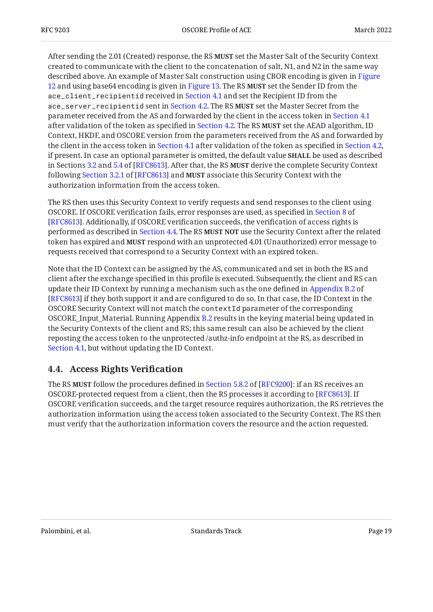After sending the 2.01 (Created) response, the RS **MUST** set the Master Salt of the Security Context created to communicate with the client to the concatenation of salt, N1, and N2 in the same way described above. An example of Master Salt construction using CBOR encoding is given in [Figure](#page-17-0) [12](#page-17-0) and using base64 encoding is given in [Figure 13.](#page-17-1) The RS **MUST** set the Sender ID from the ace\_client\_recipientid received in [Section 4.1](#page-13-0) and set the Recipient ID from the ace\_server\_recipientid sent in [Section 4.2.](#page-15-0) The RS MUST set the Master Secret from the parameter received from the AS and forwarded by the client in the access token in [Section 4.1](#page-13-0) after validation of the token as specified in [Section 4.2](#page-15-0). The RS **MUST** set the AEAD algorithm, ID Context, HKDF, and OSCORE version from the parameters received from the AS and forwarded by the client in the access token in [Section 4.1](#page-13-0) after validation of the token as specified in [Section 4.2,](#page-15-0) if present. In case an optional parameter is omitted, the default value be used as described **SHALL** in Sections [3.2](https://www.rfc-editor.org/rfc/rfc8613#section-3.2) and [5.4](https://www.rfc-editor.org/rfc/rfc8613#section-5.4) of [RFC8613]. After that, the RS **MUST** derive the complete Security Context followingSection 3.2.1 of [RFC8613] and **MUST** associate this Security Context with the authorization information from the access token.

The RS then uses this Security Context to verify requests and send responses to the client using OSCORE. If OSCORE verification fails, error responses are used, as specified in [Section 8](https://www.rfc-editor.org/rfc/rfc8613#section-8) of [[RFC8613\]](#page-25-3). Additionally, if OSCORE verification succeeds, the verification of access rights is performed as described in [Section 4.4](#page-18-0). The RS **MUST NOT** use the Security Context after the related token has expired and **MUST** respond with an unprotected 4.01 (Unauthorized) error message to requests received that correspond to a Security Context with an expired token.

Note that the ID Context can be assigned by the AS, communicated and set in both the RS and client after the exchange specified in this profile is executed. Subsequently, the client and RS can update their ID Context by running a mechanism such as the one defined in [Appendix B.2](https://www.rfc-editor.org/rfc/rfc8613#appendix-B.2) of [[RFC8613\]](#page-25-3) if they both support it and are configured to do so. In that case, the ID Context in the OSCORE Security Context will not match the contextId parameter of the corresponding OSCORE\_Input\_Material. Running Appendix [B.2](https://www.rfc-editor.org/rfc/rfc8613#appendix-B.2) results in the keying material being updated in the Security Contexts of the client and RS; this same result can also be achieved by the client reposting the access token to the unprotected /authz-info endpoint at the RS, as described in [Section 4.1](#page-13-0), but without updating the ID Context.

### <span id="page-18-0"></span>**[4.4. Access Rights Veri](#page-18-0)fication**

TheRS **MUST** follow the procedures defined in Section 5.8.2 of [RFC9200]: if an RS receives an OSCORE-protected request from a client, then the RS processes it according to [[RFC8613\]](#page-25-3). If OSCORE verification succeeds, and the target resource requires authorization, the RS retrieves the authorization information using the access token associated to the Security Context. The RS then must verify that the authorization information covers the resource and the action requested.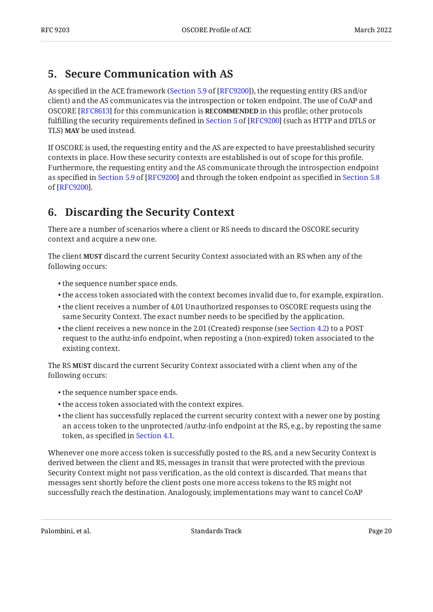### <span id="page-19-0"></span>**[5. Secure Communication with AS](#page-19-0)**

As specified in the ACE framework ([Section 5.9](https://www.rfc-editor.org/rfc/rfc9200#section-5.9) of [\[RFC9200\]](#page-26-1)), the requesting entity (RS and/or client) and the AS communicates via the introspection or token endpoint. The use of CoAP and OSCORE [RFC8613] for this communication is **RECOMMENDED** in this profile; other protocols fulfillingthe security requirements defined in Section 5 of [RFC9200] (such as HTTP and DTLS or TLS) **MAY** be used instead.

If OSCORE is used, the requesting entity and the AS are expected to have preestablished security contexts in place. How these security contexts are established is out of scope for this profile. Furthermore, the requesting entity and the AS communicate through the introspection endpoint asspecified in Section 5.9 of [RFC9200] and through the token endpoint as specified in [Section 5.8](https://www.rfc-editor.org/rfc/rfc9200#section-5.8) . of [[RFC9200\]](#page-26-1)

## <span id="page-19-1"></span>**[6. Discarding the Security Context](#page-19-1)**

There are a number of scenarios where a client or RS needs to discard the OSCORE security context and acquire a new one.

The client **MUST** discard the current Security Context associated with an RS when any of the following occurs:

- the sequence number space ends. •
- $\bullet$  the access token associated with the context becomes invalid due to, for example, expiration.
- $\bullet$  the client receives a number of 4.01 Unauthorized responses to OSCORE requests using the same Security Context. The exact number needs to be specified by the application.
- $\bullet$  the client receives a new nonce in the 2.01 (Created) response (see [Section 4.2\)](#page-15-0) to a POST request to the authz-info endpoint, when reposting a (non-expired) token associated to the existing context.

The RS **MUST** discard the current Security Context associated with a client when any of the following occurs:

- the sequence number space ends.
- the access token associated with the context expires. •
- $\bullet$  the client has successfully replaced the current security context with a newer one by posting an access token to the unprotected /authz-info endpoint at the RS, e.g., by reposting the same token, as specified in [Section 4.1](#page-13-0).

Whenever one more access token is successfully posted to the RS, and a new Security Context is derived between the client and RS, messages in transit that were protected with the previous Security Context might not pass verification, as the old context is discarded. That means that messages sent shortly before the client posts one more access tokens to the RS might not successfully reach the destination. Analogously, implementations may want to cancel CoAP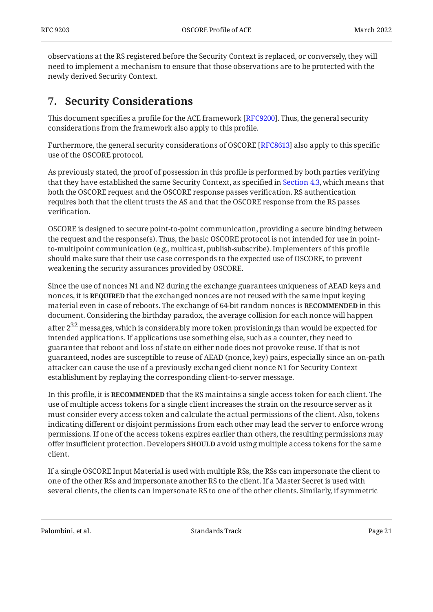observations at the RS registered before the Security Context is replaced, or conversely, they will need to implement a mechanism to ensure that those observations are to be protected with the newly derived Security Context.

## <span id="page-20-0"></span>**[7. Security Considerations](#page-20-0)**

This document specifies a profile for the ACE framework [RFC9200]. Thus, the general security considerations from the framework also apply to this profile.

Furthermore, the general security considerations of OSCORE [RFC8613] also apply to this specific use of the OSCORE protocol.

As previously stated, the proof of possession in this profile is performed by both parties verifying that they have established the same Security Context, as specified in [Section 4.3](#page-16-2), which means that both the OSCORE request and the OSCORE response passes verification. RS authentication requires both that the client trusts the AS and that the OSCORE response from the RS passes verification.

OSCORE is designed to secure point-to-point communication, providing a secure binding between the request and the response(s). Thus, the basic OSCORE protocol is not intended for use in pointto-multipoint communication (e.g., multicast, publish-subscribe). Implementers of this profile should make sure that their use case corresponds to the expected use of OSCORE, to prevent weakening the security assurances provided by OSCORE.

Since the use of nonces N1 and N2 during the exchange guarantees uniqueness of AEAD keys and nonces, it is **REQUIRED** that the exchanged nonces are not reused with the same input keying material even in case of reboots. The exchange of 64-bit random nonces is **RECOMMENDED** in this document. Considering the birthday paradox, the average collision for each nonce will happen

after  $2^{32}$  messages, which is considerably more token provisionings than would be expected for intended applications. If applications use something else, such as a counter, they need to guarantee that reboot and loss of state on either node does not provoke reuse. If that is not guaranteed, nodes are susceptible to reuse of AEAD (nonce, key) pairs, especially since an on-path attacker can cause the use of a previously exchanged client nonce N1 for Security Context establishment by replaying the corresponding client-to-server message.

In this profile, it is **RECOMMENDED** that the RS maintains a single access token for each client. The use of multiple access tokens for a single client increases the strain on the resource server as it must consider every access token and calculate the actual permissions of the client. Also, tokens indicating different or disjoint permissions from each other may lead the server to enforce wrong permissions. If one of the access tokens expires earlier than others, the resulting permissions may offer insufficient protection. Developers **SHOULD** avoid using multiple access tokens for the same client.

If a single OSCORE Input Material is used with multiple RSs, the RSs can impersonate the client to one of the other RSs and impersonate another RS to the client. If a Master Secret is used with several clients, the clients can impersonate RS to one of the other clients. Similarly, if symmetric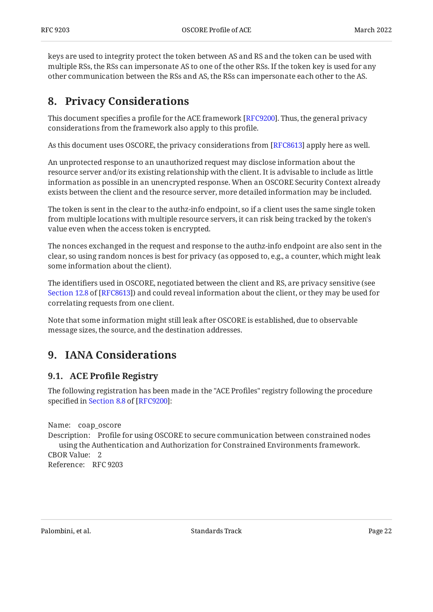keys are used to integrity protect the token between AS and RS and the token can be used with multiple RSs, the RSs can impersonate AS to one of the other RSs. If the token key is used for any other communication between the RSs and AS, the RSs can impersonate each other to the AS.

# <span id="page-21-0"></span>**[8. Privacy Considerations](#page-21-0)**

This document specifies a profile for the ACE framework [\[RFC9200\]](#page-26-1). Thus, the general privacy considerations from the framework also apply to this profile.

As this document uses OSCORE, the privacy considerations from [RFC8613] apply here as well.

An unprotected response to an unauthorized request may disclose information about the resource server and/or its existing relationship with the client. It is advisable to include as little information as possible in an unencrypted response. When an OSCORE Security Context already exists between the client and the resource server, more detailed information may be included.

The token is sent in the clear to the authz-info endpoint, so if a client uses the same single token from multiple locations with multiple resource servers, it can risk being tracked by the token's value even when the access token is encrypted.

The nonces exchanged in the request and response to the authz-info endpoint are also sent in the clear, so using random nonces is best for privacy (as opposed to, e.g., a counter, which might leak some information about the client).

The identifiers used in OSCORE, negotiated between the client and RS, are privacy sensitive (see [Section 12.8](https://www.rfc-editor.org/rfc/rfc8613#section-12.8) of [\[RFC8613](#page-25-3)]) and could reveal information about the client, or they may be used for correlating requests from one client.

Note that some information might still leak after OSCORE is established, due to observable message sizes, the source, and the destination addresses.

# <span id="page-21-2"></span><span id="page-21-1"></span>**[9. IANA Considerations](#page-21-1)**

### **[9.1. A](#page-21-2)CE Profi[le Registry](#page-21-2)**

The following registration has been made in the "ACE Profiles" registry following the procedure specifiedin Section 8.8 of [RFC9200]:

Name: coap\_oscore Description: Profile for using OSCORE to secure communication between constrained nodes CBOR Value: 2 Reference: RFC 9203 using the Authentication and Authorization for Constrained Environments framework.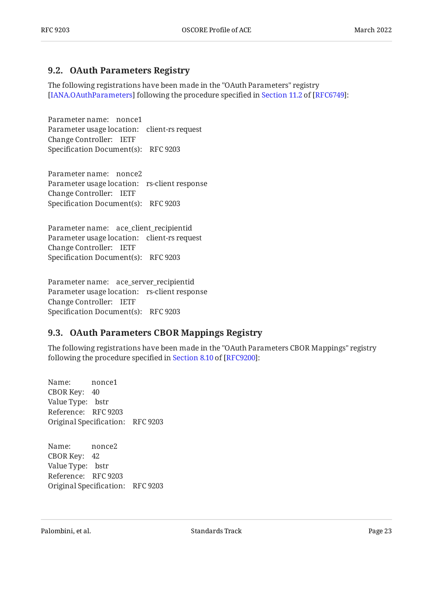### <span id="page-22-0"></span>**[9.2. OAuth Parameters Registry](#page-22-0)**

The following registrations have been made in the "OAuth Parameters" registry [IANA.OAuthParameters]following the procedure specified in Section 11.2 of [RFC6749]:

Parameter name: nonce1 Parameter usage location: client-rs request Change Controller: IETF Specification Document(s): RFC 9203

Parameter name: nonce2 Parameter usage location: rs-client response Change Controller: IETF Specification Document(s): RFC 9203

Parameter name: ace\_client\_recipientid Parameter usage location: client-rs request Change Controller: IETF Specification Document(s): RFC 9203

Parameter name: ace\_server\_recipientid Parameter usage location: rs-client response Change Controller: IETF Specification Document(s): RFC 9203

### <span id="page-22-1"></span>**[9.3. OAuth Parameters CBOR Mappings Registry](#page-22-1)**

The following registrations have been made in the "OAuth Parameters CBOR Mappings" registry followingthe procedure specified in Section 8.10 of [RFC9200]:

Name: CBOR Key: 40 Value Type: bstr Reference: RFC 9203 Original Specification: RFC 9203 nonce1

Name: CBOR Key: 42 Value Type: bstr Reference: RFC 9203 Original Specification: RFC 9203 nonce2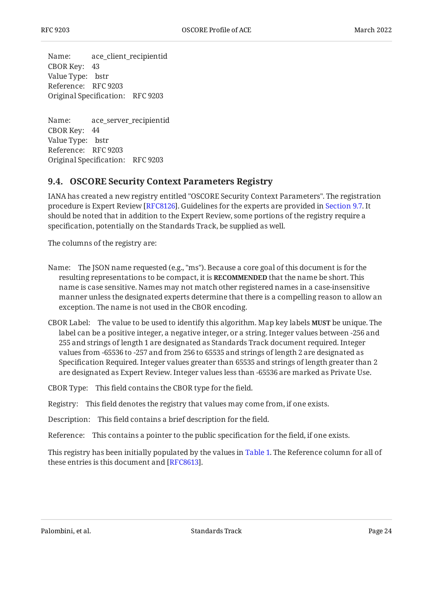Name: CBOR Key: 43 Value Type: bstr Reference: RFC 9203 Original Specification: RFC 9203 ace client recipientid

Name: CBOR Key: 44 Value Type: bstr Reference: RFC 9203 Original Specification: RFC 9203 ace\_server\_recipientid

### <span id="page-23-0"></span>**[9.4. OSCORE Security Context Parameters Registry](#page-23-0)**

IANA has created a new registry entitled "OSCORE Security Context Parameters". The registration procedure is Expert Review [RFC8126]. Guidelines for the experts are provided in [Section 9.7.](#page-24-2) It should be noted that in addition to the Expert Review, some portions of the registry require a specification, potentially on the Standards Track, be supplied as well.

The columns of the registry are:

- Name: The JSON name requested (e.g., "ms"). Because a core goal of this document is for the resulting representations to be compact, it is **RECOMMENDED** that the name be short. This name is case sensitive. Names may not match other registered names in a case-insensitive manner unless the designated experts determine that there is a compelling reason to allow an exception. The name is not used in the CBOR encoding.
- CBOR Label: The value to be used to identify this algorithm. Map key labels **MUST** be unique. The label can be a positive integer, a negative integer, or a string. Integer values between -256 and 255 and strings of length 1 are designated as Standards Track document required. Integer values from -65536 to -257 and from 256 to 65535 and strings of length 2 are designated as Specification Required. Integer values greater than 65535 and strings of length greater than 2 are designated as Expert Review. Integer values less than -65536 are marked as Private Use.

CBOR Type: This field contains the CBOR type for the field.

Registry: This field denotes the registry that values may come from, if one exists.

Description: This field contains a brief description for the field.

Reference: This contains a pointer to the public specification for the field, if one exists.

This registry has been initially populated by the values in [Table 1](#page-10-3). The Reference column for all of these entries is this document and [RFC8613].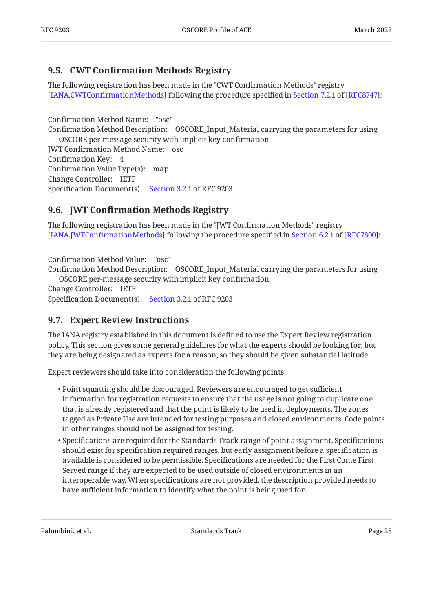### <span id="page-24-0"></span>**[9.5. C](#page-24-0)WT Confi[rmation Methods Registry](#page-24-0)**

The following registration has been made in the "CWT Confirmation Methods" registry [IANA.CWTConfirmationMethods]following the procedure specified in Section 7.2.1 of [RFC8747]:

Confirmation Method Name: "osc" Confirmation Method Description: OSCORE\_Input\_Material carrying the parameters for using JWT Confirmation Method Name: osc Confirmation Key: 4 Confirmation Value Type(s): map Change Controller: IETF OSCORE per-message security with implicit key confirmation

### <span id="page-24-1"></span>Specification Document(s): [Section 3.2.1](#page-10-0) of RFC 9203

### **[9.6. J](#page-24-1)WT Confi[rmation Methods Registry](#page-24-1)**

The following registration has been made in the "JWT Confirmation Methods" registry [IANA.JWTConfirmationMethods]following the procedure specified in Section 6.2.1 of [RFC7800]:

Confirmation Method Value: "osc"

Confirmation Method Description: OSCORE\_Input\_Material carrying the parameters for using OSCORE per-message security with implicit key confirmation

Change Controller: IETF Specification Document(s): [Section 3.2.1](#page-10-0) of RFC 9203

### <span id="page-24-2"></span>**[9.7. Expert Review Instructions](#page-24-2)**

The IANA registry established in this document is defined to use the Expert Review registration policy. This section gives some general guidelines for what the experts should be looking for, but they are being designated as experts for a reason, so they should be given substantial latitude.

Expert reviewers should take into consideration the following points:

- Point squatting should be discouraged. Reviewers are encouraged to get sufficient information for registration requests to ensure that the usage is not going to duplicate one that is already registered and that the point is likely to be used in deployments. The zones tagged as Private Use are intended for testing purposes and closed environments. Code points in other ranges should not be assigned for testing.
- $\bullet$  Specifications are required for the Standards Track range of point assignment. Specifications should exist for specification required ranges, but early assignment before a specification is available is considered to be permissible. Specifications are needed for the First Come First Served range if they are expected to be used outside of closed environments in an interoperable way. When specifications are not provided, the description provided needs to have sufficient information to identify what the point is being used for.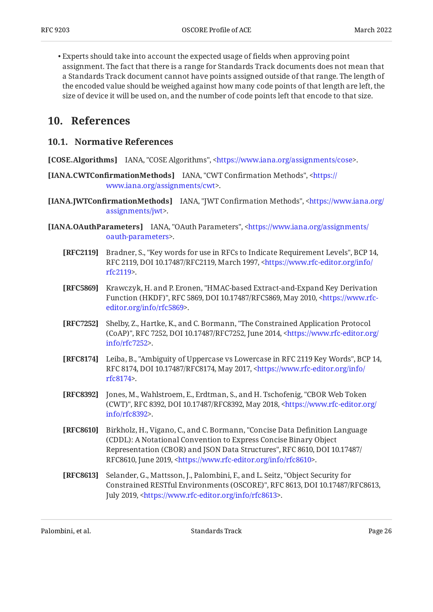Experts should take into account the expected usage of fields when approving point • assignment. The fact that there is a range for Standards Track documents does not mean that a Standards Track document cannot have points assigned outside of that range. The length of the encoded value should be weighed against how many code points of that length are left, the size of device it will be used on, and the number of code points left that encode to that size.

### <span id="page-25-1"></span><span id="page-25-0"></span>**[10. References](#page-25-0)**

### **[10.1. Normative References](#page-25-1)**

<span id="page-25-9"></span>**[COSE.Algorithms]** IANA, "COSE Algorithms", [<https://www.iana.org/assignments/cose>](https://www.iana.org/assignments/cose).

- <span id="page-25-11"></span>**[IANA.CWTConfirmationMethods] IANA, "CWT Confirmation Methods", <[https://](https://www.iana.org/assignments/cwt)** . [www.iana.org/assignments/cwt>](https://www.iana.org/assignments/cwt)
- <span id="page-25-12"></span>**[IANA.JWTConfirmationMethods]** IANA, "JWT Confirmation Methods", [<https://www.iana.org/](https://www.iana.org/assignments/jwt) . [assignments/jwt>](https://www.iana.org/assignments/jwt)
- <span id="page-25-10"></span><span id="page-25-7"></span><span id="page-25-5"></span><span id="page-25-4"></span><span id="page-25-2"></span>[IANA.OAuthParameters] IANA, "OAuth Parameters", [<https://www.iana.org/assignments/](https://www.iana.org/assignments/oauth-parameters) . [oauth-parameters](https://www.iana.org/assignments/oauth-parameters)>
	- **[RFC2119]** Bradner, S., "Key words for use in RFCs to Indicate Requirement Levels", BCP 14, RFC 2119, DOI 10.17487/RFC2119, March 1997, [<https://www.rfc-editor.org/info/](https://www.rfc-editor.org/info/rfc2119) . [rfc2119](https://www.rfc-editor.org/info/rfc2119)>
	- **[RFC5869]** Krawczyk, H. and P. Eronen, "HMAC-based Extract-and-Expand Key Derivation Function (HKDF)", RFC 5869, DOI 10.17487/RFC5869, May 2010, <[https://www.rfc-](https://www.rfc-editor.org/info/rfc5869). [editor.org/info/rfc5869](https://www.rfc-editor.org/info/rfc5869)>
	- **[RFC7252]** Shelby, Z., Hartke, K., and C. Bormann, "The Constrained Application Protocol (CoAP)", RFC 7252, DOI 10.17487/RFC7252, June 2014, [<https://www.rfc-editor.org/](https://www.rfc-editor.org/info/rfc7252) . [info/rfc7252>](https://www.rfc-editor.org/info/rfc7252)
	- **[RFC8174]** Leiba, B., "Ambiguity of Uppercase vs Lowercase in RFC 2119 Key Words", BCP 14, RFC 8174, DOI 10.17487/RFC8174, May 2017, <[https://www.rfc-editor.org/info/](https://www.rfc-editor.org/info/rfc8174) . [rfc8174](https://www.rfc-editor.org/info/rfc8174)>
	- **[RFC8392]** Jones, M., Wahlstroem, E., Erdtman, S., and H. Tschofenig, "CBOR Web Token (CWT)", RFC 8392, DOI 10.17487/RFC8392, May 2018, [<https://www.rfc-editor.org/](https://www.rfc-editor.org/info/rfc8392) . [info/rfc8392>](https://www.rfc-editor.org/info/rfc8392)
	- **[RFC8610]** Birkholz, H., Vigano, C., and C. Bormann, "Concise Data Definition Language Representation (CBOR) and JSON Data Structures", RFC 8610, DOI 10.17487/ RFC8610, June 2019, <https://www.rfc-editor.org/info/rfc8610>. (CDDL): A Notational Convention to Express Concise Binary Object
	- **[RFC8613]** Selander, G., Mattsson, J., Palombini, F., and L. Seitz, "Object Security for , , , Constrained RESTful Environments (OSCORE)" RFC 8613 DOI 10.17487/RFC8613 July 2019, <https://www.rfc-editor.org/info/rfc8613>.

<span id="page-25-8"></span><span id="page-25-6"></span><span id="page-25-3"></span>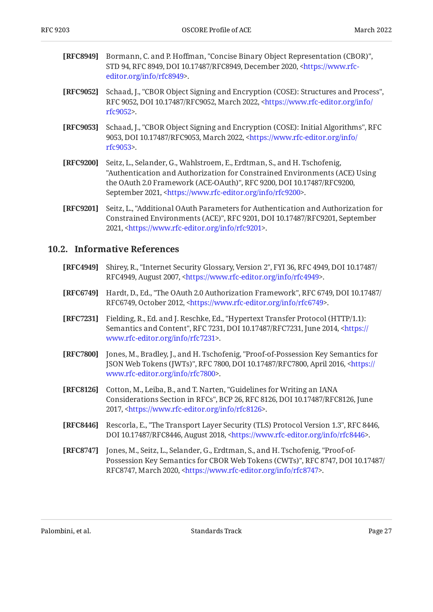- <span id="page-26-7"></span>**[RFC8949]** Bormann, C. and P. Hoffman, "Concise Binary Object Representation (CBOR)", STD 94, RFC 8949, DOI 10.17487/RFC8949, December 2020, [<https://www.rfc-](https://www.rfc-editor.org/info/rfc8949). [editor.org/info/rfc8949](https://www.rfc-editor.org/info/rfc8949)>
- <span id="page-26-2"></span>**[RFC9052]** Schaad, J., "CBOR Object Signing and Encryption (COSE): Structures and Process", RFC 9052, DOI 10.17487/RFC9052, March 2022, [<https://www.rfc-editor.org/info/](https://www.rfc-editor.org/info/rfc9052) . [rfc9052](https://www.rfc-editor.org/info/rfc9052)>
- <span id="page-26-3"></span>**[RFC9053]** Schaad, J., "CBOR Object Signing and Encryption (COSE): Initial Algorithms", RFC 9053, DOI 10.17487/RFC9053, March 2022, [<https://www.rfc-editor.org/info/](https://www.rfc-editor.org/info/rfc9053) . [rfc9053](https://www.rfc-editor.org/info/rfc9053)>
- <span id="page-26-1"></span>**[RFC9200]** Seitz, L., Selander, G., Wahlstroem, E., Erdtman, S., and H. Tschofenig, the OAuth 2.0 Framework (ACE-OAuth)", RFC 9200, DOI 10.17487/RFC9200, September 2021, <https://www.rfc-editor.org/info/rfc9200>. "Authentication and Authorization for Constrained Environments (ACE) Using
- <span id="page-26-9"></span>**[RFC9201]** Seitz, L., "Additional OAuth Parameters for Authentication and Authorization for Constrained Environments (ACE)", RFC 9201, DOI 10.17487/RFC9201, September 2021, <https://www.rfc-editor.org/info/rfc9201>.

### <span id="page-26-0"></span>**[10.2. Informative References](#page-26-0)**

- <span id="page-26-4"></span>**[RFC4949]** Shirey, R., "Internet Security Glossary, Version 2", FYI 36, RFC 4949, DOI 10.17487/ RFC4949, August 2007, [<https://www.rfc-editor.org/info/rfc4949](https://www.rfc-editor.org/info/rfc4949)>.
- <span id="page-26-6"></span>**[RFC6749]** Hardt, D., Ed., "The OAuth 2.0 Authorization Framework", RFC 6749, DOI 10.17487/ RFC6749, October 2012, [<https://www.rfc-editor.org/info/rfc6749](https://www.rfc-editor.org/info/rfc6749)>.
- <span id="page-26-5"></span>**[RFC7231]** Fielding, R., Ed. and J. Reschke, Ed., "Hypertext Transfer Protocol (HTTP/1.1): Semantics and Content", RFC 7231, DOI 10.17487/RFC7231, June 2014, <[https://](https://www.rfc-editor.org/info/rfc7231) . [www.rfc-editor.org/info/rfc7231>](https://www.rfc-editor.org/info/rfc7231)
- <span id="page-26-12"></span>**[RFC7800]** Jones, M., Bradley, J., and H. Tschofenig, "Proof-of-Possession Key Semantics for JSON Web Tokens (JWTs)", RFC 7800, DOI 10.17487/RFC7800, April 2016, <[https://](https://www.rfc-editor.org/info/rfc7800) . [www.rfc-editor.org/info/rfc7800>](https://www.rfc-editor.org/info/rfc7800)
- <span id="page-26-11"></span>**[RFC8126]** Cotton, M., Leiba, B., and T. Narten, "Guidelines for Writing an IANA Considerations Section in RFCs", BCP 26, RFC 8126, DOI 10.17487/RFC8126, June 2017, <[https://www.rfc-editor.org/info/rfc8126>](https://www.rfc-editor.org/info/rfc8126).
- <span id="page-26-8"></span>**[RFC8446]** Rescorla, E., "The Transport Layer Security (TLS) Protocol Version 1.3", RFC 8446, DOI 10.17487/RFC8446, August 2018, [<https://www.rfc-editor.org/info/rfc8446](https://www.rfc-editor.org/info/rfc8446)>.
- <span id="page-26-10"></span>**[RFC8747]** Jones, M., Seitz, L., Selander, G., Erdtman, S., and H. Tschofenig, "Proof-of-, , Possession Key Semantics for CBOR Web Tokens (CWTs)" RFC 8747 DOI 10.17487/ RFC8747, March 2020, <[https://www.rfc-editor.org/info/rfc8747>](https://www.rfc-editor.org/info/rfc8747).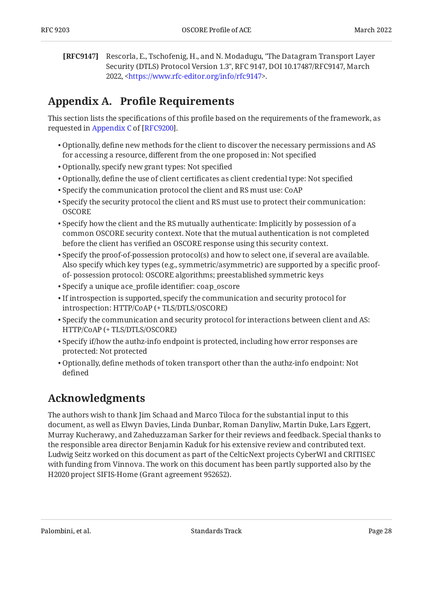<span id="page-27-2"></span>**[RFC9147]** Rescorla, E., Tschofenig, H., and N. Modadugu, "The Datagram Transport Layer Security (DTLS) Protocol Version 1.3", RFC 9147, DOI 10.17487/RFC9147, March 2022, <https://www.rfc-editor.org/info/rfc9147>.

# <span id="page-27-0"></span>**[Appendix A.](#page-27-0) Profi[le Requirements](#page-27-0)**

This section lists the specifications of this profile based on the requirements of the framework, as requestedin Appendix C of [RFC9200].

- $\bullet$  Optionally, define new methods for the client to discover the necessary permissions and AS for accessing a resource, different from the one proposed in: Not specified
- Optionally, specify new grant types: Not specified •
- $\bullet$  Optionally, define the use of client certificates as client credential type: Not specified  $\,$
- Specify the communication protocol the client and RS must use: CoAP •
- $\bullet$  Specify the security protocol the client and RS must use to protect their communication: **OSCORE**
- $\bullet$  Specify how the client and the RS mutually authenticate: Implicitly by possession of a common OSCORE security context. Note that the mutual authentication is not completed before the client has verified an OSCORE response using this security context.
- $\bullet$  Specify the proof-of-possession protocol(s) and how to select one, if several are available. Also specify which key types (e.g., symmetric/asymmetric) are supported by a specific proofof- possession protocol: OSCORE algorithms; preestablished symmetric keys
- Specify a unique ace\_profile identifier: coap\_oscore •
- $\bullet$  If introspection is supported, specify the communication and security protocol for introspection: HTTP/CoAP (+ TLS/DTLS/OSCORE)
- $\bullet$  Specify the communication and security protocol for interactions between client and AS: HTTP/CoAP (+ TLS/DTLS/OSCORE)
- $\bullet$  Specify if/how the authz-info endpoint is protected, including how error responses are protected: Not protected
- Optionally, define methods of token transport other than the authz-info endpoint: Not defined

# <span id="page-27-1"></span>**[Acknowledgments](#page-27-1)**

The authors wish to thank Jim Schaad and Marco Tiloca for the substantial input to this document, as well as Elwyn Davies, Linda Dunbar, Roman Danyliw, Martin Duke, Lars Eggert, Murray Kucherawy, and Zaheduzzaman Sarker for their reviews and feedback. Special thanks to the responsible area director Benjamin Kaduk for his extensive review and contributed text. Ludwig Seitz worked on this document as part of the CelticNext projects CyberWI and CRITISEC with funding from Vinnova. The work on this document has been partly supported also by the H2020 project SIFIS-Home (Grant agreement 952652).